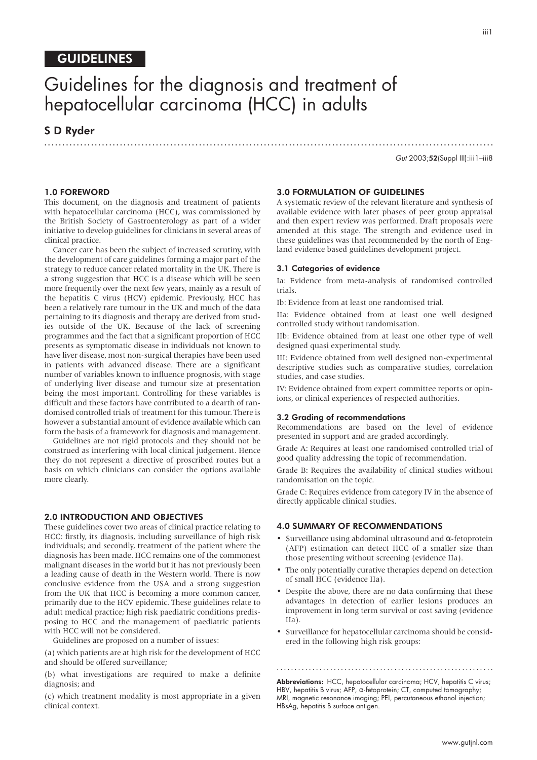# Guidelines for the diagnosis and treatment of hepatocellular carcinoma (HCC) in adults

.............................................................................................................................

## S D Ryder

*Gut* 2003;52(Suppl III):iii1–iii8

## 1.0 FOREWORD

This document, on the diagnosis and treatment of patients with hepatocellular carcinoma (HCC), was commissioned by the British Society of Gastroenterology as part of a wider initiative to develop guidelines for clinicians in several areas of clinical practice.

Cancer care has been the subject of increased scrutiny, with the development of care guidelines forming a major part of the strategy to reduce cancer related mortality in the UK. There is a strong suggestion that HCC is a disease which will be seen more frequently over the next few years, mainly as a result of the hepatitis C virus (HCV) epidemic. Previously, HCC has been a relatively rare tumour in the UK and much of the data pertaining to its diagnosis and therapy are derived from studies outside of the UK. Because of the lack of screening programmes and the fact that a significant proportion of HCC presents as symptomatic disease in individuals not known to have liver disease, most non-surgical therapies have been used in patients with advanced disease. There are a significant number of variables known to influence prognosis, with stage of underlying liver disease and tumour size at presentation being the most important. Controlling for these variables is difficult and these factors have contributed to a dearth of randomised controlled trials of treatment for this tumour. There is however a substantial amount of evidence available which can form the basis of a framework for diagnosis and management.

Guidelines are not rigid protocols and they should not be construed as interfering with local clinical judgement. Hence they do not represent a directive of proscribed routes but a basis on which clinicians can consider the options available more clearly.

## 2.0 INTRODUCTION AND OBJECTIVES

These guidelines cover two areas of clinical practice relating to HCC: firstly, its diagnosis, including surveillance of high risk individuals; and secondly, treatment of the patient where the diagnosis has been made. HCC remains one of the commonest malignant diseases in the world but it has not previously been a leading cause of death in the Western world. There is now conclusive evidence from the USA and a strong suggestion from the UK that HCC is becoming a more common cancer, primarily due to the HCV epidemic. These guidelines relate to adult medical practice; high risk paediatric conditions predisposing to HCC and the management of paediatric patients with HCC will not be considered.

Guidelines are proposed on a number of issues:

(a) which patients are at high risk for the development of HCC and should be offered surveillance;

(b) what investigations are required to make a definite diagnosis; and

(c) which treatment modality is most appropriate in a given clinical context.

## 3.0 FORMULATION OF GUIDELINES

A systematic review of the relevant literature and synthesis of available evidence with later phases of peer group appraisal and then expert review was performed. Draft proposals were amended at this stage. The strength and evidence used in these guidelines was that recommended by the north of England evidence based guidelines development project.

#### 3.1 Categories of evidence

Ia: Evidence from meta-analysis of randomised controlled trials.

Ib: Evidence from at least one randomised trial.

IIa: Evidence obtained from at least one well designed controlled study without randomisation.

IIb: Evidence obtained from at least one other type of well designed quasi experimental study.

III: Evidence obtained from well designed non-experimental descriptive studies such as comparative studies, correlation studies, and case studies.

IV: Evidence obtained from expert committee reports or opinions, or clinical experiences of respected authorities.

#### 3.2 Grading of recommendations

Recommendations are based on the level of evidence presented in support and are graded accordingly.

Grade A: Requires at least one randomised controlled trial of good quality addressing the topic of recommendation.

Grade B: Requires the availability of clinical studies without randomisation on the topic.

Grade C: Requires evidence from category IV in the absence of directly applicable clinical studies.

#### 4.0 SUMMARY OF RECOMMENDATIONS

- Surveillance using abdominal ultrasound and α-fetoprotein (AFP) estimation can detect HCC of a smaller size than those presenting without screening (evidence IIa).
- The only potentially curative therapies depend on detection of small HCC (evidence IIa).
- Despite the above, there are no data confirming that these advantages in detection of earlier lesions produces an improvement in long term survival or cost saving (evidence IIa).
- Surveillance for hepatocellular carcinoma should be considered in the following high risk groups:

Abbreviations: HCC, hepatocellular carcinoma; HCV, hepatitis C virus; HBV, hepatitis B virus; AFP, α-fetoprotein; CT, computed tomography; MRI, magnetic resonance imaging; PEI, percutaneous ethanol injection; HBsAg, hepatitis B surface antigen.

.............................................................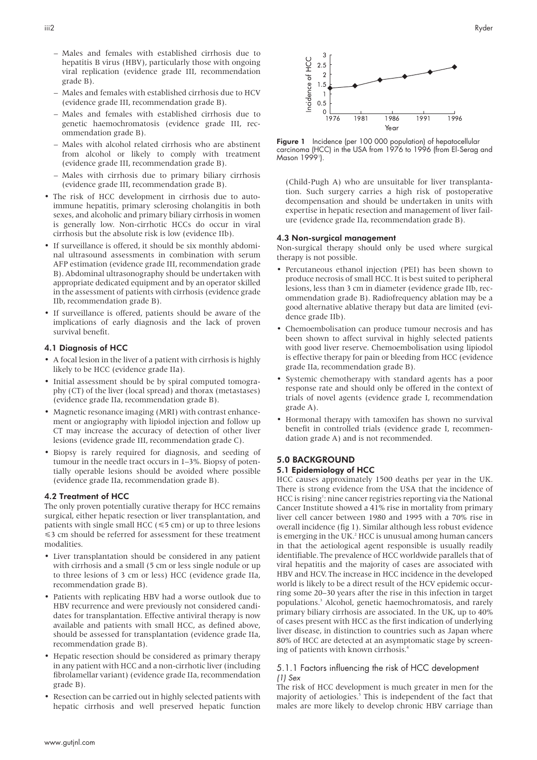- Males and females with established cirrhosis due to hepatitis B virus (HBV), particularly those with ongoing viral replication (evidence grade III, recommendation grade B).
- Males and females with established cirrhosis due to HCV (evidence grade III, recommendation grade B).
- Males and females with established cirrhosis due to genetic haemochromatosis (evidence grade III, recommendation grade B).
- Males with alcohol related cirrhosis who are abstinent from alcohol or likely to comply with treatment (evidence grade III, recommendation grade B).
- Males with cirrhosis due to primary biliary cirrhosis (evidence grade III, recommendation grade B).
- The risk of HCC development in cirrhosis due to autoimmune hepatitis, primary sclerosing cholangitis in both sexes, and alcoholic and primary biliary cirrhosis in women is generally low. Non-cirrhotic HCCs do occur in viral cirrhosis but the absolute risk is low (evidence IIb).
- If surveillance is offered, it should be six monthly abdominal ultrasound assessments in combination with serum AFP estimation (evidence grade III, recommendation grade B). Abdominal ultrasonography should be undertaken with appropriate dedicated equipment and by an operator skilled in the assessment of patients with cirrhosis (evidence grade IIb, recommendation grade B).
- If surveillance is offered, patients should be aware of the implications of early diagnosis and the lack of proven survival benefit.

#### 4.1 Diagnosis of HCC

- A focal lesion in the liver of a patient with cirrhosis is highly likely to be HCC (evidence grade IIa).
- Initial assessment should be by spiral computed tomography (CT) of the liver (local spread) and thorax (metastases) (evidence grade IIa, recommendation grade B).
- Magnetic resonance imaging (MRI) with contrast enhancement or angiography with lipiodol injection and follow up CT may increase the accuracy of detection of other liver lesions (evidence grade III, recommendation grade C).
- Biopsy is rarely required for diagnosis, and seeding of tumour in the needle tract occurs in 1–3%. Biopsy of potentially operable lesions should be avoided where possible (evidence grade IIa, recommendation grade B).

#### 4.2 Treatment of HCC

The only proven potentially curative therapy for HCC remains surgical, either hepatic resection or liver transplantation, and patients with single small HCC ( $\leq 5$  cm) or up to three lesions  $\leq$  3 cm should be referred for assessment for these treatment modalities.

- Liver transplantation should be considered in any patient with cirrhosis and a small (5 cm or less single nodule or up to three lesions of 3 cm or less) HCC (evidence grade IIa, recommendation grade B).
- Patients with replicating HBV had a worse outlook due to HBV recurrence and were previously not considered candidates for transplantation. Effective antiviral therapy is now available and patients with small HCC, as defined above, should be assessed for transplantation (evidence grade IIa, recommendation grade B).
- Hepatic resection should be considered as primary therapy in any patient with HCC and a non-cirrhotic liver (including fibrolamellar variant) (evidence grade IIa, recommendation grade B).
- Resection can be carried out in highly selected patients with hepatic cirrhosis and well preserved hepatic function



Figure 1 Incidence (per 100 000 population) of hepatocellular carcinoma (HCC) in the USA from 1976 to 1996 (from El-Serag and Mason 1999').

(Child-Pugh A) who are unsuitable for liver transplantation. Such surgery carries a high risk of postoperative decompensation and should be undertaken in units with expertise in hepatic resection and management of liver failure (evidence grade IIa, recommendation grade B).

#### 4.3 Non-surgical management

Non-surgical therapy should only be used where surgical therapy is not possible.

- Percutaneous ethanol injection (PEI) has been shown to produce necrosis of small HCC. It is best suited to peripheral lesions, less than 3 cm in diameter (evidence grade IIb, recommendation grade B). Radiofrequency ablation may be a good alternative ablative therapy but data are limited (evidence grade IIb).
- Chemoembolisation can produce tumour necrosis and has been shown to affect survival in highly selected patients with good liver reserve. Chemoembolisation using lipiodol is effective therapy for pain or bleeding from HCC (evidence grade IIa, recommendation grade B).
- Systemic chemotherapy with standard agents has a poor response rate and should only be offered in the context of trials of novel agents (evidence grade I, recommendation grade A).
- Hormonal therapy with tamoxifen has shown no survival benefit in controlled trials (evidence grade I, recommendation grade A) and is not recommended.

## 5.0 BACKGROUND

#### 5.1 Epidemiology of HCC

HCC causes approximately 1500 deaths per year in the UK. There is strong evidence from the USA that the incidence of HCC is rising<sup>1</sup>: nine cancer registries reporting via the National Cancer Institute showed a 41% rise in mortality from primary liver cell cancer between 1980 and 1995 with a 70% rise in overall incidence (fig 1). Similar although less robust evidence is emerging in the UK.<sup>2</sup> HCC is unusual among human cancers in that the aetiological agent responsible is usually readily identifiable. The prevalence of HCC worldwide parallels that of viral hepatitis and the majority of cases are associated with HBV and HCV. The increase in HCC incidence in the developed world is likely to be a direct result of the HCV epidemic occurring some 20–30 years after the rise in this infection in target populations.3 Alcohol, genetic haemochromatosis, and rarely primary biliary cirrhosis are associated. In the UK, up to 40% of cases present with HCC as the first indication of underlying liver disease, in distinction to countries such as Japan where 80% of HCC are detected at an asymptomatic stage by screening of patients with known cirrhosis.4

## 5.1.1 Factors influencing the risk of HCC development *(1) Sex*

The risk of HCC development is much greater in men for the majority of aetiologies.<sup>5</sup> This is independent of the fact that males are more likely to develop chronic HBV carriage than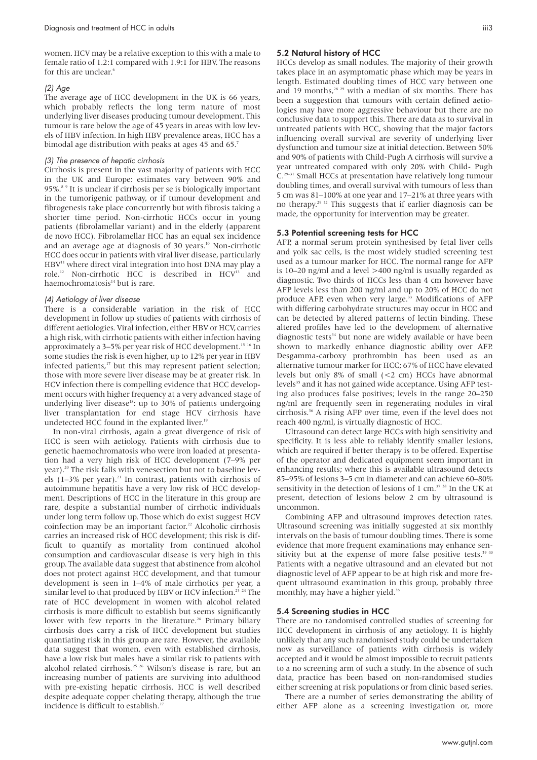women. HCV may be a relative exception to this with a male to female ratio of 1.2:1 compared with 1.9:1 for HBV. The reasons for this are unclear.<sup>6</sup>

#### *(2) Age*

The average age of HCC development in the UK is 66 years, which probably reflects the long term nature of most underlying liver diseases producing tumour development. This tumour is rare below the age of 45 years in areas with low levels of HBV infection. In high HBV prevalence areas, HCC has a bimodal age distribution with peaks at ages 45 and 65.7

#### *(3) The presence of hepatic cirrhosis*

Cirrhosis is present in the vast majority of patients with HCC in the UK and Europe: estimates vary between 90% and 95%.<sup>8</sup> It is unclear if cirrhosis per se is biologically important in the tumorigenic pathway, or if tumour development and fibrogenesis take place concurrently but with fibrosis taking a shorter time period. Non-cirrhotic HCCs occur in young patients (fibrolamellar variant) and in the elderly (apparent de novo HCC). Fibrolamellar HCC has an equal sex incidence and an average age at diagnosis of 30 years.<sup>10</sup> Non-cirrhotic HCC does occur in patients with viral liver disease, particularly HBV<sup>11</sup> where direct viral integration into host DNA may play a role.12 Non-cirrhotic HCC is described in HCV13 and haemochromatosis<sup>14</sup> but is rare.

## *(4) Aetiology of liver disease*

There is a considerable variation in the risk of HCC development in follow up studies of patients with cirrhosis of different aetiologies. Viral infection, either HBV or HCV, carries a high risk, with cirrhotic patients with either infection having approximately a 3–5% per year risk of HCC development.<sup>15 16</sup> In some studies the risk is even higher, up to 12% per year in HBV infected patients,<sup>17</sup> but this may represent patient selection; those with more severe liver disease may be at greater risk. In HCV infection there is compelling evidence that HCC development occurs with higher frequency at a very advanced stage of underlying liver disease<sup>18</sup>: up to 30% of patients undergoing liver transplantation for end stage HCV cirrhosis have undetected HCC found in the explanted liver.<sup>19</sup>

In non-viral cirrhosis, again a great divergence of risk of HCC is seen with aetiology. Patients with cirrhosis due to genetic haemochromatosis who were iron loaded at presentation had a very high risk of HCC development (7–9% per year).20 The risk falls with venesection but not to baseline levels (1–3% per year).<sup>21</sup> In contrast, patients with cirrhosis of autoimmune hepatitis have a very low risk of HCC development. Descriptions of HCC in the literature in this group are rare, despite a substantial number of cirrhotic individuals under long term follow up. Those which do exist suggest HCV coinfection may be an important factor.<sup>22</sup> Alcoholic cirrhosis carries an increased risk of HCC development; this risk is difficult to quantify as mortality from continued alcohol consumption and cardiovascular disease is very high in this group. The available data suggest that abstinence from alcohol does not protect against HCC development, and that tumour development is seen in 1–4% of male cirrhotics per year, a similar level to that produced by HBV or HCV infection.<sup>23</sup> <sup>24</sup> The rate of HCC development in women with alcohol related cirrhosis is more difficult to establish but seems significantly lower with few reports in the literature.<sup>24</sup> Primary biliary cirrhosis does carry a risk of HCC development but studies quantiating risk in this group are rare. However, the available data suggest that women, even with established cirrhosis, have a low risk but males have a similar risk to patients with alcohol related cirrhosis.25 26 Wilson's disease is rare, but an increasing number of patients are surviving into adulthood with pre-existing hepatic cirrhosis. HCC is well described despite adequate copper chelating therapy, although the true incidence is difficult to establish.<sup>2</sup>

## 5.2 Natural history of HCC

HCCs develop as small nodules. The majority of their growth takes place in an asymptomatic phase which may be years in length. Estimated doubling times of HCC vary between one and 19 months, $28 \times 29$  with a median of six months. There has been a suggestion that tumours with certain defined aetiologies may have more aggressive behaviour but there are no conclusive data to support this. There are data as to survival in untreated patients with HCC, showing that the major factors influencing overall survival are severity of underlying liver dysfunction and tumour size at initial detection. Between 50% and 90% of patients with Child-Pugh A cirrhosis will survive a year untreated compared with only 20% with Child- Pugh C.<sup>29-31</sup> Small HCCs at presentation have relatively long tumour doubling times, and overall survival with tumours of less than 5 cm was 81–100% at one year and 17–21% at three years with no therapy.29 32 This suggests that if earlier diagnosis can be made, the opportunity for intervention may be greater.

#### 5.3 Potential screening tests for HCC

AFP, a normal serum protein synthesised by fetal liver cells and yolk sac cells, is the most widely studied screening test used as a tumour marker for HCC. The normal range for AFP is 10–20 ng/ml and a level >400 ng/ml is usually regarded as diagnostic. Two thirds of HCCs less than 4 cm however have AFP levels less than 200 ng/ml and up to 20% of HCC do not produce AFP, even when very large.<sup>33</sup> Modifications of AFP with differing carbohydrate structures may occur in HCC and can be detected by altered patterns of lectin binding. These altered profiles have led to the development of alternative diagnostic tests<sup>34</sup> but none are widely available or have been shown to markedly enhance diagnostic ability over AFP. Desgamma-carboxy prothrombin has been used as an alternative tumour marker for HCC; 67% of HCC have elevated levels but only  $8\%$  of small  $( $2 \text{ cm}$ )$  HCCs have abnormal levels<sup>35</sup> and it has not gained wide acceptance. Using AFP testing also produces false positives; levels in the range 20–250 ng/ml are frequently seen in regenerating nodules in viral cirrhosis.36 A rising AFP over time, even if the level does not reach 400 ng/ml, is virtually diagnostic of HCC.

Ultrasound can detect large HCCs with high sensitivity and specificity. It is less able to reliably identify smaller lesions, which are required if better therapy is to be offered. Expertise of the operator and dedicated equipment seem important in enhancing results; where this is available ultrasound detects 85–95% of lesions 3–5 cm in diameter and can achieve 60–80% sensitivity in the detection of lesions of 1 cm.<sup>37 38</sup> In the UK at present, detection of lesions below 2 cm by ultrasound is uncommon.

Combining AFP and ultrasound improves detection rates. Ultrasound screening was initially suggested at six monthly intervals on the basis of tumour doubling times. There is some evidence that more frequent examinations may enhance sensitivity but at the expense of more false positive tests.<sup>39 40</sup> Patients with a negative ultrasound and an elevated but not diagnostic level of AFP appear to be at high risk and more frequent ultrasound examination in this group, probably three monthly, may have a higher yield.<sup>38</sup>

#### 5.4 Screening studies in HCC

There are no randomised controlled studies of screening for HCC development in cirrhosis of any aetiology. It is highly unlikely that any such randomised study could be undertaken now as surveillance of patients with cirrhosis is widely accepted and it would be almost impossible to recruit patients to a no screening arm of such a study. In the absence of such data, practice has been based on non-randomised studies either screening at risk populations or from clinic based series.

There are a number of series demonstrating the ability of either AFP alone as a screening investigation or, more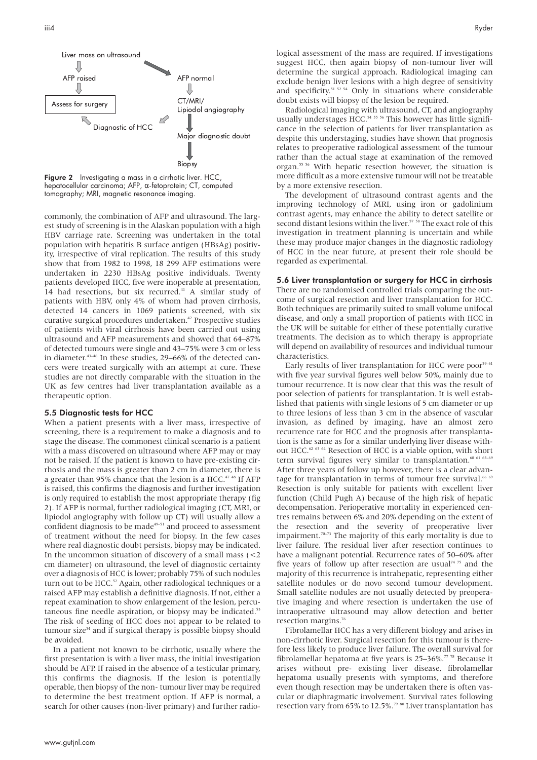

Figure 2 Investigating a mass in a cirrhotic liver. HCC, hepatocellular carcinoma; AFP, α-fetoprotein; CT, computed tomography; MRI, magnetic resonance imaging.

commonly, the combination of AFP and ultrasound. The largest study of screening is in the Alaskan population with a high HBV carriage rate. Screening was undertaken in the total population with hepatitis B surface antigen (HBsAg) positivity, irrespective of viral replication. The results of this study show that from 1982 to 1998, 18 299 AFP estimations were undertaken in 2230 HBsAg positive individuals. Twenty patients developed HCC, five were inoperable at presentation, 14 had resections, but six recurred.<sup>41</sup> A similar study of patients with HBV, only 4% of whom had proven cirrhosis, detected 14 cancers in 1069 patients screened, with six curative surgical procedures undertaken.<sup>42</sup> Prospective studies of patients with viral cirrhosis have been carried out using ultrasound and AFP measurements and showed that 64–87% of detected tumours were single and 43–75% were 3 cm or less in diameter.<sup>43-46</sup> In these studies, 29-66% of the detected cancers were treated surgically with an attempt at cure. These studies are not directly comparable with the situation in the UK as few centres had liver transplantation available as a therapeutic option.

### 5.5 Diagnostic tests for HCC

When a patient presents with a liver mass, irrespective of screening, there is a requirement to make a diagnosis and to stage the disease. The commonest clinical scenario is a patient with a mass discovered on ultrasound where AFP may or may not be raised. If the patient is known to have pre-existing cirrhosis and the mass is greater than 2 cm in diameter, there is a greater than 95% chance that the lesion is a HCC.<sup>47,48</sup> If AFP is raised, this confirms the diagnosis and further investigation is only required to establish the most appropriate therapy (fig 2). If AFP is normal, further radiological imaging (CT, MRI, or lipiodol angiography with follow up CT) will usually allow a confident diagnosis to be made<sup>49-51</sup> and proceed to assessment of treatment without the need for biopsy. In the few cases where real diagnostic doubt persists, biopsy may be indicated. In the uncommon situation of discovery of a small mass  $\left($  <2 cm diameter) on ultrasound, the level of diagnostic certainty over a diagnosis of HCC is lower; probably 75% of such nodules turn out to be HCC.<sup>52</sup> Again, other radiological techniques or a raised AFP may establish a definitive diagnosis. If not, either a repeat examination to show enlargement of the lesion, percutaneous fine needle aspiration, or biopsy may be indicated.<sup>53</sup> The risk of seeding of HCC does not appear to be related to tumour size $54$  and if surgical therapy is possible biopsy should be avoided.

In a patient not known to be cirrhotic, usually where the first presentation is with a liver mass, the initial investigation should be AFP. If raised in the absence of a testicular primary, this confirms the diagnosis. If the lesion is potentially operable, then biopsy of the non- tumour liver may be required to determine the best treatment option. If AFP is normal, a search for other causes (non-liver primary) and further radiological assessment of the mass are required. If investigations suggest HCC, then again biopsy of non-tumour liver will determine the surgical approach. Radiological imaging can exclude benign liver lesions with a high degree of sensitivity and specificity.51 52 54 Only in situations where considerable doubt exists will biopsy of the lesion be required.

Radiological imaging with ultrasound, CT, and angiography usually understages HCC.<sup>54 55</sup> 56 This however has little significance in the selection of patients for liver transplantation as despite this understaging, studies have shown that prognosis relates to preoperative radiological assessment of the tumour rather than the actual stage at examination of the removed organ.55 56 With hepatic resection however, the situation is more difficult as a more extensive tumour will not be treatable by a more extensive resection.

The development of ultrasound contrast agents and the improving technology of MRI, using iron or gadolinium contrast agents, may enhance the ability to detect satellite or second distant lesions within the liver.<sup>57</sup> <sup>58</sup> The exact role of this investigation in treatment planning is uncertain and while these may produce major changes in the diagnostic radiology of HCC in the near future, at present their role should be regarded as experimental.

## 5.6 Liver transplantation or surgery for HCC in cirrhosis

There are no randomised controlled trials comparing the outcome of surgical resection and liver transplantation for HCC. Both techniques are primarily suited to small volume unifocal disease, and only a small proportion of patients with HCC in the UK will be suitable for either of these potentially curative treatments. The decision as to which therapy is appropriate will depend on availability of resources and individual tumour characteristics.

Early results of liver transplantation for HCC were poor<sup>59-61</sup> with five year survival figures well below 50%, mainly due to tumour recurrence. It is now clear that this was the result of poor selection of patients for transplantation. It is well established that patients with single lesions of 5 cm diameter or up to three lesions of less than 3 cm in the absence of vascular invasion, as defined by imaging, have an almost zero recurrence rate for HCC and the prognosis after transplantation is the same as for a similar underlying liver disease without HCC.62 63 64 Resection of HCC is a viable option, with short term survival figures very similar to transplantation.<sup>60 61 65-69</sup> After three years of follow up however, there is a clear advantage for transplantation in terms of tumour free survival.<sup>66 6</sup> Resection is only suitable for patients with excellent liver function (Child Pugh A) because of the high risk of hepatic decompensation. Perioperative mortality in experienced centres remains between 6% and 20% depending on the extent of the resection and the severity of preoperative liver impairment.70–73 The majority of this early mortality is due to liver failure. The residual liver after resection continues to have a malignant potential. Recurrence rates of 50–60% after five years of follow up after resection are usual<sup>74.75</sup> and the majority of this recurrence is intrahepatic, representing either satellite nodules or do novo second tumour development. Small satellite nodules are not usually detected by preoperative imaging and where resection is undertaken the use of intraoperative ultrasound may allow detection and better resection margins.<sup>76</sup>

Fibrolamellar HCC has a very different biology and arises in non-cirrhotic liver. Surgical resection for this tumour is therefore less likely to produce liver failure. The overall survival for fibrolamellar hepatoma at five years is  $25-36\%$ .<sup>77</sup> <sup>8</sup> Because it arises without pre- existing liver disease, fibrolamellar hepatoma usually presents with symptoms, and therefore even though resection may be undertaken there is often vascular or diaphragmatic involvement. Survival rates following resection vary from 65% to 12.5%.<sup>79 80</sup> Liver transplantation has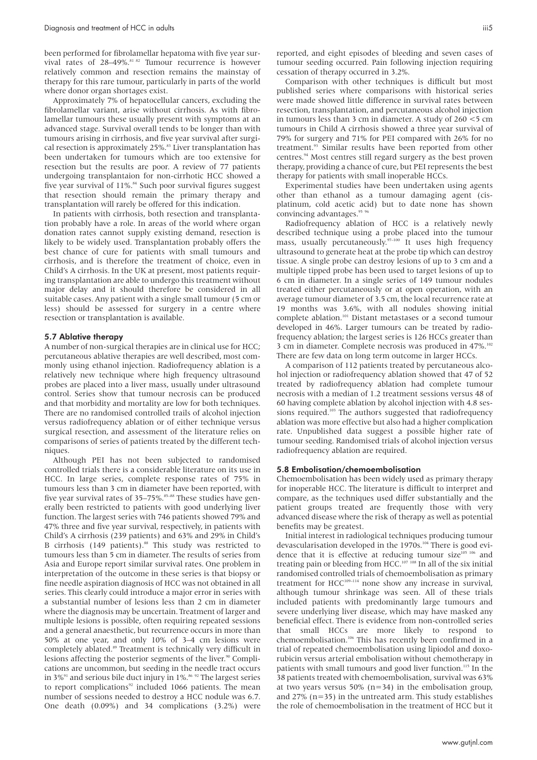been performed for fibrolamellar hepatoma with five year survival rates of 28-49%.<sup>81 82</sup> Tumour recurrence is however relatively common and resection remains the mainstay of therapy for this rare tumour, particularly in parts of the world where donor organ shortages exist.

Approximately 7% of hepatocellular cancers, excluding the fibrolamellar variant, arise without cirrhosis. As with fibrolamellar tumours these usually present with symptoms at an advanced stage. Survival overall tends to be longer than with tumours arising in cirrhosis, and five year survival after surgical resection is approximately 25%.<sup>83</sup> Liver transplantation has been undertaken for tumours which are too extensive for resection but the results are poor. A review of 77 patients undergoing transplantaion for non-cirrhotic HCC showed a five year survival of 11%.<sup>84</sup> Such poor survival figures suggest that resection should remain the primary therapy and transplantation will rarely be offered for this indication.

In patients with cirrhosis, both resection and transplantation probably have a role. In areas of the world where organ donation rates cannot supply existing demand, resection is likely to be widely used. Transplantation probably offers the best chance of cure for patients with small tumours and cirrhosis, and is therefore the treatment of choice, even in Child's A cirrhosis. In the UK at present, most patients requiring transplantation are able to undergo this treatment without major delay and it should therefore be considered in all suitable cases. Any patient with a single small tumour (5 cm or less) should be assessed for surgery in a centre where resection or transplantation is available.

#### 5.7 Ablative therapy

A number of non-surgical therapies are in clinical use for HCC; percutaneous ablative therapies are well described, most commonly using ethanol injection. Radiofrequency ablation is a relatively new technique where high frequency ultrasound probes are placed into a liver mass, usually under ultrasound control. Series show that tumour necrosis can be produced and that morbidity and mortality are low for both techniques. There are no randomised controlled trails of alcohol injection versus radiofrequency ablation or of either technique versus surgical resection, and assessment of the literature relies on comparisons of series of patients treated by the different techniques.

Although PEI has not been subjected to randomised controlled trials there is a considerable literature on its use in HCC. In large series, complete response rates of 75% in tumours less than 3 cm in diameter have been reported, with five year survival rates of 35–75%.<sup>85–88</sup> These studies have generally been restricted to patients with good underlying liver function. The largest series with 746 patients showed 79% and 47% three and five year survival, respectively, in patients with Child's A cirrhosis (239 patients) and 63% and 29% in Child's B cirrhosis (149 patients).<sup>88</sup> This study was restricted to tumours less than 5 cm in diameter. The results of series from Asia and Europe report similar survival rates. One problem in interpretation of the outcome in these series is that biopsy or fine needle aspiration diagnosis of HCC was not obtained in all series. This clearly could introduce a major error in series with a substantial number of lesions less than 2 cm in diameter where the diagnosis may be uncertain. Treatment of larger and multiple lesions is possible, often requiring repeated sessions and a general anaesthetic, but recurrence occurs in more than 50% at one year, and only 10% of 3–4 cm lesions were completely ablated.89 Treatment is technically very difficult in lesions affecting the posterior segments of the liver.<sup>90</sup> Complications are uncommon, but seeding in the needle tract occurs in 3%<sup>91</sup> and serious bile duct injury in 1%.<sup>86 92</sup> The largest series to report complications<sup>92</sup> included 1066 patients. The mean number of sessions needed to destroy a HCC nodule was 6.7. One death (0.09%) and 34 complications (3.2%) were

Comparison with other techniques is difficult but most published series where comparisons with historical series were made showed little difference in survival rates between resection, transplantation, and percutaneous alcohol injection in tumours less than 3 cm in diameter. A study of  $260 \leq 5$  cm tumours in Child A cirrhosis showed a three year survival of 79% for surgery and 71% for PEI compared with 26% for no treatment.<sup>93</sup> Similar results have been reported from other centres.94 Most centres still regard surgery as the best proven therapy, providing a chance of cure, but PEI represents the best therapy for patients with small inoperable HCCs.

Experimental studies have been undertaken using agents other than ethanol as a tumour damaging agent (cisplatinum, cold acetic acid) but to date none has shown convincing advantages.<sup>95 96</sup>

Radiofrequency ablation of HCC is a relatively newly described technique using a probe placed into the tumour mass, usually percutaneously.<sup>97-100</sup> It uses high frequency ultrasound to generate heat at the probe tip which can destroy tissue. A single probe can destroy lesions of up to 3 cm and a multiple tipped probe has been used to target lesions of up to 6 cm in diameter. In a single series of 149 tumour nodules treated either percutaneously or at open operation, with an average tumour diameter of 3.5 cm, the local recurrence rate at 19 months was 3.6%, with all nodules showing initial complete ablation.101 Distant metastases or a second tumour developed in 46%. Larger tumours can be treated by radiofrequency ablation; the largest series is 126 HCCs greater than 3 cm in diameter. Complete necrosis was produced in 47%.<sup>102</sup> There are few data on long term outcome in larger HCCs.

A comparison of 112 patients treated by percutaneous alcohol injection or radiofrequency ablation showed that 47 of 52 treated by radiofrequency ablation had complete tumour necrosis with a median of 1.2 treatment sessions versus 48 of 60 having complete ablation by alcohol injection with 4.8 sessions required.<sup>103</sup> The authors suggested that radiofrequency ablation was more effective but also had a higher complication rate. Unpublished data suggest a possible higher rate of tumour seeding. Randomised trials of alcohol injection versus radiofrequency ablation are required.

#### 5.8 Embolisation/chemoembolisation

Chemoembolisation has been widely used as primary therapy for inoperable HCC. The literature is difficult to interpret and compare, as the techniques used differ substantially and the patient groups treated are frequently those with very advanced disease where the risk of therapy as well as potential benefits may be greatest.

Initial interest in radiological techniques producing tumour devascularisation developed in the 1970s.<sup>104</sup> There is good evidence that it is effective at reducing tumour size<sup>105 106</sup> and treating pain or bleeding from HCC.107 108 In all of the six initial randomised controlled trials of chemoembolisation as primary treatment for HCC<sup>109-114</sup> none show any increase in survival, although tumour shrinkage was seen. All of these trials included patients with predominantly large tumours and severe underlying liver disease, which may have masked any beneficial effect. There is evidence from non-controlled series that small HCCs are more likely to respond to chemoembolisation.106 This has recently been confirmed in a trial of repeated chemoembolisation using lipiodol and doxorubicin versus arterial embolisation without chemotherapy in patients with small tumours and good liver function.<sup>115</sup> In the 38 patients treated with chemoembolisation, survival was 63% at two years versus 50% ( $n=34$ ) in the embolisation group, and 27% (n=35) in the untreated arm. This study establishes the role of chemoembolisation in the treatment of HCC but it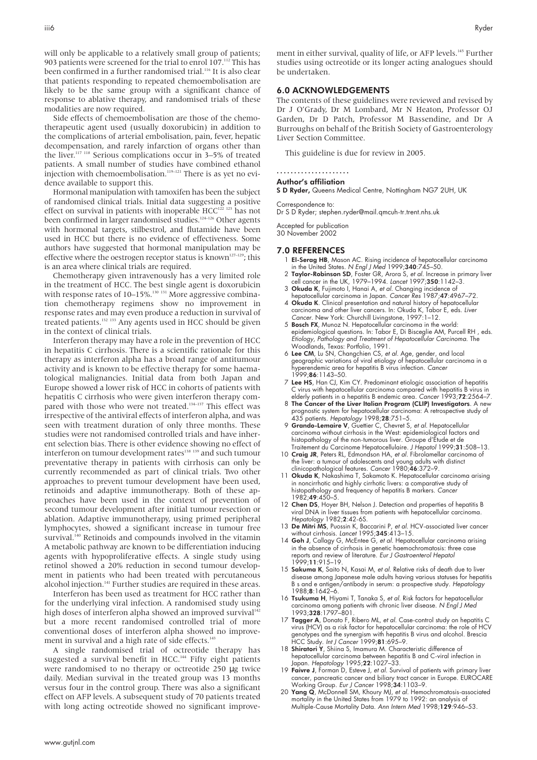will only be applicable to a relatively small group of patients; 903 patients were screened for the trial to enrol 107.<sup>112</sup> This has been confirmed in a further randomised trial.<sup>116</sup> It is also clear that patients responding to repeated chemoembolisation are likely to be the same group with a significant chance of response to ablative therapy, and randomised trials of these modalities are now required.

Side effects of chemoembolisation are those of the chemotherapeutic agent used (usually doxorubicin) in addition to the complications of arterial embolisation, pain, fever, hepatic decompensation, and rarely infarction of organs other than the liver.117 118 Serious complications occur in 3–5% of treated patients. A small number of studies have combined ethanol injection with chemoembolisation.<sup>119–121</sup> There is as yet no evidence available to support this.

Hormonal manipulation with tamoxifen has been the subject of randomised clinical trials. Initial data suggesting a positive effect on survival in patients with inoperable HCC<sup>122 123</sup> has not been confirmed in larger randomised studies.<sup>124-126</sup> Other agents with hormonal targets, stilbestrol, and flutamide have been used in HCC but there is no evidence of effectiveness. Some authors have suggested that hormonal manipulation may be effective where the oestrogen receptor status is known<sup>127–129</sup>; this is an area where clinical trials are required.

Chemotherapy given intravenously has a very limited role in the treatment of HCC. The best single agent is doxorubicin with response rates of 10–15%.<sup>130</sup> <sup>131</sup> More aggressive combination chemotherapy regimens show no improvement in response rates and may even produce a reduction in survival of treated patients.<sup>132</sup> <sup>133</sup> Any agents used in HCC should be given in the context of clinical trials.

Interferon therapy may have a role in the prevention of HCC in hepatitis C cirrhosis. There is a scientific rationale for this therapy as interferon alpha has a broad range of antitumour activity and is known to be effective therapy for some haematological malignancies. Initial data from both Japan and Europe showed a lower risk of HCC in cohorts of patients with hepatitis C cirrhosis who were given interferon therapy compared with those who were not treated.<sup>134–137</sup> This effect was irrespective of the antiviral effects of interferon alpha, and was seen with treatment duration of only three months. These studies were not randomised controlled trials and have inherent selection bias. There is other evidence showing no effect of interferon on tumour development rates<sup>138</sup> 139</sup> and such tumour preventative therapy in patients with cirrhosis can only be currently recommended as part of clinical trials. Two other approaches to prevent tumour development have been used, retinoids and adaptive immunotherapy. Both of these approaches have been used in the context of prevention of second tumour development after initial tumour resection or ablation. Adaptive immunotherapy, using primed peripheral lymphocytes, showed a significant increase in tumour free survival.<sup>140</sup> Retinoids and compounds involved in the vitamin A metabolic pathway are known to be differentiation inducing agents with hypoproliferative effects. A single study using retinol showed a 20% reduction in second tumour development in patients who had been treated with percutaneous alcohol injection.<sup>141</sup> Further studies are required in these areas.

Interferon has been used as treatment for HCC rather than for the underlying viral infection. A randomised study using high doses of interferon alpha showed an improved survival<sup>142</sup> but a more recent randomised controlled trial of more conventional doses of interferon alpha showed no improvement in survival and a high rate of side effects.<sup>143</sup>

A single randomised trial of octreotide therapy has suggested a survival benefit in HCC.<sup>144</sup> Fifty eight patients were randomised to no therapy or octreotide 250 µg twice daily. Median survival in the treated group was 13 months versus four in the control group. There was also a significant effect on AFP levels. A subsequent study of 70 patients treated with long acting octreotide showed no significant improve-

ment in either survival, quality of life, or AFP levels.<sup>145</sup> Further studies using octreotide or its longer acting analogues should be undertaken.

#### 6.0 ACKNOWLEDGEMENTS

The contents of these guidelines were reviewed and revised by Dr J O'Grady, Dr M Lombard, Mr N Heaton, Professor OJ Garden, Dr D Patch, Professor M Bassendine, and Dr A Burroughs on behalf of the British Society of Gastroenterology Liver Section Committee.

This guideline is due for review in 2005.

#### ..................... Author's affiliation

S D Ryder, Queens Medical Centre, Nottingham NG7 2UH, UK

Correspondence to:

Dr S D Ryder; stephen.ryder@mail.qmcuh-tr.trent.nhs.uk

Accepted for publication 30 November 2002

#### 7.0 REFERENCES

- 1 El-Serag HB, Mason AC. Rising incidence of hepatocellular carcinoma in the United States*. N Engl J Med* 1999;340:745–50.
- 2 Taylor-Robinson SD, Foster GR, Arora S, *et al.* Increase in primary liver cell cancer in the UK, 1979–1994*. Lancet* 1997;350:1142–3.
- 3 Okuda K, Fujimoto I, Hanai A, *et al.* Changing incidence of hepatocellular carcinoma in Japan*. Cancer Res* 1987;47:4967–72.
- 4 Okuda K. Clinical presentation and natural history of hepatocellular carcinoma and other liver cancers. In: Okuda K, Tabor E, eds. *Liver Cancer*. New York: Churchill Livingstone, 1997:1–12.
- 5 Bosch FX, Munoz N. Hepatocellular carcinoma in the world: epidemiological questions. In: Tabor E, Di Bisceglie AM, Purcell RH, eds. *Etiology, Pathology and Treatment of Hepatocellular Carcinoma*. The Woodlands, Texas: Portfolio, 1991.
- 6 Lee CM, Lu SN, Changchien CS, *et al.* Age, gender, and local geographic variations of viral etiology of hepatocellular carcinoma in a hyperendemic area for hepatitis B virus infection. *Cancer* 1999;86:1143–50.
- 7 Lee HS, Han CJ, Kim CY. Predominant etiologic association of hepatitis C virus with hepatocellular carcinoma compared with hepatitis B virus in elderly patients in a hepatitis B endemic area*. Cancer* 1993;72:2564–7.
- 8 The Cancer of the Liver Italian Program (CLIP) Investigators. A new prognostic system for hepatocellular carcinoma: A retrospective study of
- 435 patients*. Hepatology* 1998;28:751–5. 9 Grando-Lemaire V, Guettier C, Chevret S, *et al.* Hepatocellular carcinoma without cirrhosis in the West: epidemiological factors and histopathology of the non-tumorous liver. Groupe d'Etude et de
- Traitement du Carcinome Hepatocellulaire. *J Hepatol* 1999;31:508–13. 10 Craig JR, Peters RL, Edmondson HA, *et al.* Fibrolamellar carcinoma of the liver: a tumour of adolescents and young adults with distinct clinicopathological features*. Cancer* 1980;46:372–9.
- Okuda K, Nakashima T, Sakamoto K. Hepatocellular carcinoma arising in noncirrhotic and highly cirrhotic livers: a comparative study of histopathology and frequency of hepatitis B markers*. Cancer* 1982;49:450–5.
- 12 Chen DS, Hover BH, Nelson J. Detection and properties of hepatitis B viral DNA in liver tissues from patients with hepatocellular carcinoma*. Hepatology* 1982;2:42-6S.
- 13 De Mitri MS, Puossin K, Baccarini P, *et al.* HCV-associated liver cancer without cirrhosis. *Lancet* 1995;345:413–15.
- 14 Goh J, Callagy G, McEntee G, *et al.* Hepatocellular carcinoma arising in the absence of cirrhosis in genetic haemochromatosis: three case reports and review of literature. *Eur J Gastroenterol Hepatol* 1999;11:915–19.
- 15 Sakuma K, Saito N, Kasai M, *et al.* Relative risks of death due to liver disease among Japanese male adults having various statuses for hepatitis B s and e antigen/antibody in serum: a prospective study*. Hepatology*  $1988.8.1642-6$
- 16 Tsukuma H, Hiyami T, Tanaka S, *et al.* Risk factors for hepatocellular carcinoma among patients with chronic liver disease*. N Engl J Med* 1993;328:1797–801.
- 17 Tagger A, Donato F, Ribero ML, et al. Case-control study on hepatitis C virus (HCV) as a risk factor for hepatocellular carcinoma: the role of HCV genotypes and the synergism with hepatitis B virus and alcohol. Brescia<br>HCC Study. *Int J Cancer* 1999;**81**:695–9.<br>18 **Shiratori Y**, Shiina S, Imamura M. Characteristic difference of
- hepatocellular carcinoma between hepatitis B and C-viral infection in Japan*. Hepatology* 1995;22:1027–33.
- 19 Faivre J, Forman D, Esteve J, *et al.* Survival of patients with primary liver cancer, pancreatic cancer and biliary tract cancer in Europe. EUROCARE Working Group. *Eur J Cancer* 1998;34:1103–9. 20 Yang Q, McDonnell SM, Khoury MJ, *et al.* Hemochromatosis-associated
- mortality in the United States from 1979 to 1992: an analysis of Multiple-Cause Mortality Data. *Ann Intern Med* 1998;129:946–53.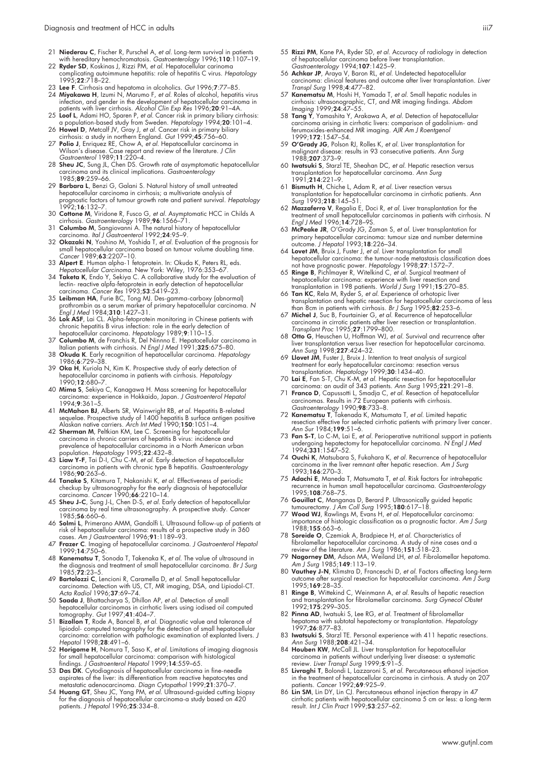- 21 **Niederau C**, Fischer R, Purschel A, *et al.* Long-term survival in patients<br>with hereditary hemochromatosis. *Gastroenterology* 1996;**110**:1107–19.<br>22 **Ryder SD**, Koskinas J, Rizzi PM, *et al.* Hepatocellular carinoma
- complicating autoimmune hepatitis: role of hepatitis C virus. *Hepatology* 1995;22:718–22.
- 
- 23 Lee F. Cirrhosis and hepatoma in alcoholics. *Gut* 1996;**7**:77–85.<br>24 Miyakawa H, Izumi N, Marumo F, *et al*. Roles of alcohol, hepatitis virus<br>infection, and gender in the development of hepatocellular carcinoma in patients with liver cirrhosis. *Alcohol Clin Exp Res* 1996;20:91–4A.
- 25 Loof L, Adami HO, Sparen P, *et al.* Cancer risk in primary biliary cirrhosis:
- a population-based study from Sweden. *Hepatology* 1994;20:101–4. 26 Howel D, Metcalf JV, Gray J, *et al.* Cancer risk in primary biliary cirrhosis: a study in northern England. *Gut* 1999;45:756–60.
- 27 Polio J, Enriquez RE, Chow A, *et al.* Hepatocellular carcinoma in
- Wilson's disease. Case report and review of the literature. J Clin<br>Gastroenterol 1989;11:220–4.<br>28 Sheu JC, Sung Jl., Chen DS. Growth rate of asymptomatic hepatocellular<br>carcinoma and its clinical implications. *Gastroente* 1985;89:259–66.
- 29 Barbara L, Benzi G, Galani S. Natural history of small untreated hepatocellular carcinoma in cirrhosis; a multivariate analysis of prognostic factors of tumour growth rate and patient survival. *Hepatology* 1992;16:132–7.
- 30 Cottone M, Viridone R, Fusco G, *et al.* Asymptomatic HCC in Childs A cirrhosis*. Gastroenterology* 1989;96:1566–71. 31 Columbo M, Sangiovanni A. The natural history of hepatocellular
- carcinoma*. Ital J Gastroenterol* 1992;24:95–9.
- 32 Okazaki N, Yoshino M, Yoshida T, *et al.* Evaluation of the prognosis for small hepatocellular carcinoma based on tumour volume doubling time*. Cancer* 1989;63:2207–10.
- 33 Alpert E. Human alpha-1 fetoprotein. In: Okuda K, Peters RL, eds.
- *Hepatocellular Carcinoma*. New York: Wiley, 1976:353–67. 34 Taketa K, Endo Y, Sekiya C. A collaborative study for the evaluation of lectin- reactive alpfa-fetoprotein in early detection of hepatocellular
- carcinoma*. Cancer Res* 1993;53:5419–23. 35 Leibman HA, Furie BC, Tong MJ. Des-gamma-carboxy (abnormal) prothrombin as a serum marker of primary hepatocellular carcinoma*. N Engl J Med* 1984;310:1427–31.
- 36 Lok ASF, Lai CL. Alpha-fetoprotein monitoring in Chinese patients with chronic hepatitis B virus infection: role in the early detection of
- hepatocellular carcinoma. *Hepatology* 1989;9:110–15. 37 Columbo M, de Franchis R, Del Ninnno E. Hepatocellular carcinoma in Italian patients with cirrhosis*. N Engl J Med* 1991;325:675–80.
- 38 Okuda K. Early recognition of hepatocellular carcinoma*. Hepatology* 1986;6:729–38.
- 39 Oka H, Kuriola N, Kim K. Prospective study of early detection of hepatocellular carcinoma in patients with cirrhosis*. Hepatology* 1990;12:680–7.
- 40 Mima S, Sekiya C, Kanagawa H. Mass screening for hepatocellular carcinoma: experience in Hokkaido, Japan*. J Gastroenterol Hepatol* 1994;9:361–5.
- 41 McMahon BJ, Alberts SR, Wainwright RB, *et al.* Hepatitis B-related sequelae. Prospective study of 1400 hepatitis B surface antigen positive Alaskan native carriers*. Arch Int Med* 1990;150:1051–4. 42 Sherman M, Peltkian KM, Lee C. Screening for hepatocellular
- carcinoma in chronic carriers of hepatitis B virus: incidence and prevalence of hepatocellular carcinoma in a North American urban
- population*. Hepatology* 1995;22:432–8. 43 Liaw Y-F, Tai D-I, Chu C-M, *et al.* Early detection of hepatocellular carcinoma in patients with chronic type B hepatitis*. Gastroenterology* 1986;90:263–6.
- 44 Tanake S, Kitamura T, Nakanishi K, *et al.* Effectiveness of periodic checkup by ultrasonography for the early diagnosis of hepatocellular carcinoma*. Cancer* 1990;66:2210–14. 45 Sheu J-C, Sung J-L, Chen D-S, *et al.* Early detection of hepatocellular
- carcinoma by real time ultrasonography. A prospective study*. Cancer* 1985;56:660–6.
- 46 Solmi L, Primerano AMM, Gandolfi L. Ultrasound follow-up of patients at risk of hepatocellular carcinoma: results of a prospective study in 360 cases*. Am J Gastroenterol* 1996;91:1189–93.
- 47 Frazer C. Imaging of hepatocellular carcinoma. *J Gastroenterol Hepatol* 1999;14:750–6. 48 Kanematsu T, Sonoda T, Takenaka K, *et al.* The value of ultrasound in
- the diagnosis and treatment of small hepatocellular carcinoma*. Br J Surg* 1985;72:23-5
- 49 Bartolozzi C, Lencioni R, Caramella D, *et al.* Small hepatocellular carcinoma. Detection with US, CT, MR imaging, DSA, and Lipiodol-CT. *Acta Radiol* 1996;37:69–74.
- 50 Saada J, Bhattacharya S, Dhillon AP, *et al.* Detection of small hepatocellular carcinomas in cirrhotic livers using iodised oil computed tomography. *Gut* 1997;41:404–7.
- 51 **Bizollon T**, Rode A, Bancel B, *et al.* Diagnostic value and tolerance of lipiodol- computed tomography for the detection of small hepatocellular carcinoma: correlation with pathologic examination of explanted livers. *Hepatol* 1998;28:491–6.
- 52 Horigome H, Nomura T, Saso K, *et al.* Limitations of imaging diagnosis for small hepatocellular carcinoma: comparison with histological findings. *J Gastroenterol Hepatol* 1999;14:559–65.
- 53 Das DK. Cytodiagnosis of hepatocellular carcinoma in fine-needle aspirates of the liver: its differentiation from reactive hepatocytes and
- metastatic adenocarcinoma. *Diagn Cytopathol* 1999;21:370–7. 54 Huang GT, Sheu JC, Yang PM, *et al.* Ultrasound-guided cutting biopsy for the diagnosis of hepatocellular carcinoma-a study based on 420 patients*. J Hepatol* 1996;25:334–8.
- 55 Rizzi PM, Kane PA, Ryder SD, *et al.* Accuracy of radiology in detection of hepatocellular carcinoma before liver transplantation. *Gastroenterology* 1994;107:1425–9.
- 56 Achkar JP, Araya V, Baron RL, *et al.* Undetected hepatocellular carcinoma: clinical features and outcome after liver transplantation. *Liver*
- *Transpl Surg* 1998;4:477–82. 57 Kanematsu M, Hoshi H, Yamada T, *et al.* Small hepatic nodules in cirrhosis: ultrasonographic, CT, and MR imaging findings. *Abdom Imaging* 1999;24:47–55.
- 58 Tang Y, Yamashita Y, Arakawa A, *et al.* Detection of hepatocellular carcinoma arising in cirrhotic livers: comparison of gadolinium- and ferumoxides-enhanced MR imaging. *AJR Am J Roentgenol* 1999;172:1547–54.
- 59 O'Grady JG, Polson RJ, Rolles K, *et al.* Liver transplantation for malignant disease: results in 93 consecutive patients*. Ann Surg* 1988;207:373–9.
- 60 Iwatsuki S, Starzl TE, Sheahan DC, *et al.* Hepatic resection versus transplantation for hepatocellular carcinoma*. Ann Surg* 1991;214:221–9.
- 61 Bismuth H, Chiche L, Adam R, *et al.* Liver resection versus transplantation for hepatocellular carcinoma in cirrhotic patients*. Ann Surg* 1993;218:145–51.
- 62 Mazzaferro V, Regalia E, Doci R, *et al.* Liver transplantation for the treatment of small hepatocellular carcinomas in patients with cirrhosis*. N Engl J Med* 1996;14:728–9S.
- 63 McPeake JR, O'Grady JG, Zaman S, *et al.* Liver transplantation for primary hepatocellular carcinoma: tumour size and number determine outcome*. J Hepatol* 1993;18:226–34.
- 64 Lovet JM, Bruix J, Fuster J, *et al.* Liver transplantation for small hepatocellular carcinoma: the tumour-node metastasis classification does<br>not have prognostic power. Hepatology 1998;27:1572–7.<br>65 Ringe B, Pichlmayer R, Witelkind C, et al. Surgical treatment of<br>hepatocellular carcinoma: e
- transplantation in 198 patients*. World J Surg* 1991;15:270–85. 66 Tan KC, Rela M, Ryder S, *et al.* Experience of orhotopic liver
- transplantation and hepatic resection for hepatocellular carcinoma of less
- than 8cm in patients with cirrhosis. *Br J Surg* 1995;**82**:253–6.<br>67 **Michel J**, Suc B, Fourtainier G, et al. Recurrence of hepatocellular<br>carcinoma in cirrotic patients after liver resection or transplantation.<br>Transplant
- 68 Otto G, Heuschen U, Hoffman WJ, *et al.* Survival and recurrence after liver transplantation versus liver resection for hepatocellular carcinoma*.*
- *Ann Surg* 1998;227:424–32. 69 Llovet JM, Fuster J, Bruix J. Intention to treat analysis of surgical treatment for early hepatocellular carcinoma: resection versus transplantation*. Hepatology* 1999;30:1434–40.
- 
- 70 **Lai E**, Fan S-T, Chu K-M, *et al.* Hepatic resection for hepatocellular<br>carcinoma: an audit of 343 patients. *Ann Surg* 1995;**221**:291–8.<br>71 **Franco D**, Capussotti L, Smadja C, *et al.* Resection of hepatocellular<br>carc
- *Gastroenterology* 1990;98:733–8. 72 Kanematsu T, Takenada K, Matsumata T, *et al.* Limited hepatic resection effective for selected cirrhotic patients with primary liver cancer*. Ann Sur* 1984;199:51–6.
- 73 Fan S-T, Lo C-M, Lai E, *et al.* Perioperative nutritional support in patients undergoing hepatectomy for hepatocellular carcinoma*. N Engl J Med* 1994;331:1547–52.
- 74 Ouchi K, Matsubara S, Fukahara K, *et al.* Recurrence of hepatocellular carcinoma in the liver remnant after hepatic resection*. Am J Surg* 1993;166:270–3.
- 75 Adachi E, Maneda T, Matsumata T, *et al.* Risk factors for intrahepatic recurrence in human small hepatocellular carcinoma*. Gastroenterology* 1995;108:768–75.
- 76 Gouillat C, Manganas D, Berard P. Ultrasonically guided hepatic tumourectomy*. J Am Coll Surg* 1995;180:617–18. 77 Wood WJ, Rawlings M, Evans H, *et al.* Hepatocellular carcinoma:
- importance of histologic classification as a prognostic factor*. Am J Surg* 1988;155:663–6.
- 78 Soreide O, Czemiak A, Bradpiece H, *et al.* Characteristics of fibrolamellar hepatocellular carcinoma. A study of nine cases and a review of the literature*. Am J Surg* 1986;151:518–23.
- 79 Nagorney DM, Adson MA, Weiland LH, *et al.* Fibrolamellar hepatoma*. Am J Surg* 1985;149:113–19.
- 80 Vauthey J-N, Klimstra D, Franceschi D, *et al*. Factors affecting long-term outcome after surgical resection for hepatocellular carcinoma*. Am J Surg* 1995;169:28–35.
- 81 Ringe B, Wittekind C, Weinmann A, *et al*. Results of hepatic resection and transplantation for fibrolamellar carcinoma*. Surg Gynecol Obstet* 1992;175:299–305.
- 82 Pinna AD, Iwatsuki S, Lee RG, *et al*. Treatment of fibrolamellar hepatoma with subtotal hepatectomy or transplantation*. Hepatology* 1997;26:877–83.
- 83 Iwatsuki S, Starzl TE. Personal experience with 411 hepatic resections*. Ann Surg* 1988;208:421–34. 84 Houben KW, McCall JL. Liver transplantation for hepatocellular
- carcinoma in patients without underlying liver disease: a systematic review*. Liver Transpl Surg* 1999;5:91–5.
- 85 Livraghi T, Bolondi L, Lazzaroni S, *et al*. Percutaneous ethanol injection in the treatment of hepatocellular carcinoma in cirrhosis. A study on 207
- patients. *Cancer* 1992;69:925–9. 86 Lin SM, Lin DY, Lin CJ. Percutaneous ethanol injection therapy in 47 cirrhotic patients with hepatocellular carcinoma 5 cm or less: a long-term result. *Int J Clin Pract* 1999;53:257–62.

www.gutjnl.com